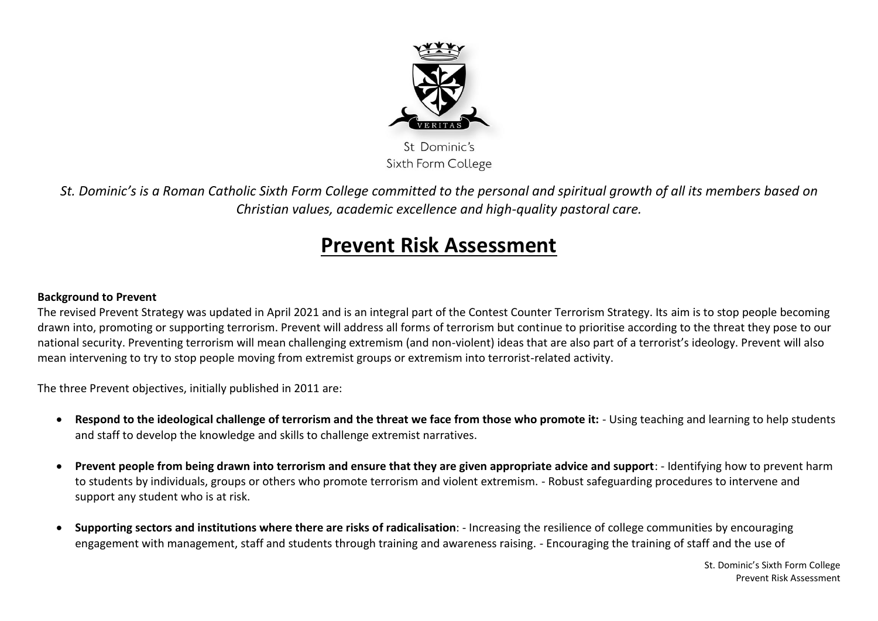

Sixth Form College

*St. Dominic's is a Roman Catholic Sixth Form College committed to the personal and spiritual growth of all its members based on Christian values, academic excellence and high-quality pastoral care.*

## **Prevent Risk Assessment**

## **Background to Prevent**

The revised Prevent Strategy was updated in April 2021 and is an integral part of the Contest Counter Terrorism Strategy. Its aim is to stop people becoming drawn into, promoting or supporting terrorism. Prevent will address all forms of terrorism but continue to prioritise according to the threat they pose to our national security. Preventing terrorism will mean challenging extremism (and non-violent) ideas that are also part of a terrorist's ideology. Prevent will also mean intervening to try to stop people moving from extremist groups or extremism into terrorist-related activity.

The three Prevent objectives, initially published in 2011 are:

- **Respond to the ideological challenge of terrorism and the threat we face from those who promote it:** Using teaching and learning to help students and staff to develop the knowledge and skills to challenge extremist narratives.
- **Prevent people from being drawn into terrorism and ensure that they are given appropriate advice and support**: Identifying how to prevent harm to students by individuals, groups or others who promote terrorism and violent extremism. - Robust safeguarding procedures to intervene and support any student who is at risk.
- **Supporting sectors and institutions where there are risks of radicalisation**: Increasing the resilience of college communities by encouraging engagement with management, staff and students through training and awareness raising. - Encouraging the training of staff and the use of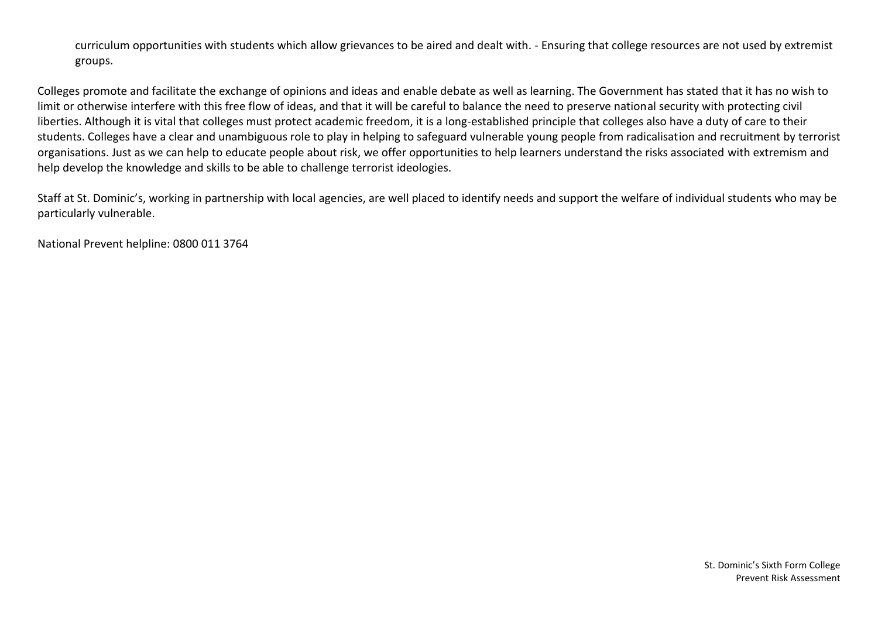curriculum opportunities with students which allow grievances to be aired and dealt with. - Ensuring that college resources are not used by extremist groups.

Colleges promote and facilitate the exchange of opinions and ideas and enable debate as well as learning. The Government has stated that it has no wish to limit or otherwise interfere with this free flow of ideas, and that it will be careful to balance the need to preserve national security with protecting civil liberties. Although it is vital that colleges must protect academic freedom, it is a long-established principle that colleges also have a duty of care to their students. Colleges have a clear and unambiguous role to play in helping to safeguard vulnerable young people from radicalisation and recruitment by terrorist organisations. Just as we can help to educate people about risk, we offer opportunities to help learners understand the risks associated with extremism and help develop the knowledge and skills to be able to challenge terrorist ideologies.

Staff at St. Dominic's, working in partnership with local agencies, are well placed to identify needs and support the welfare of individual students who may be particularly vulnerable.

National Prevent helpline: 0800 011 3764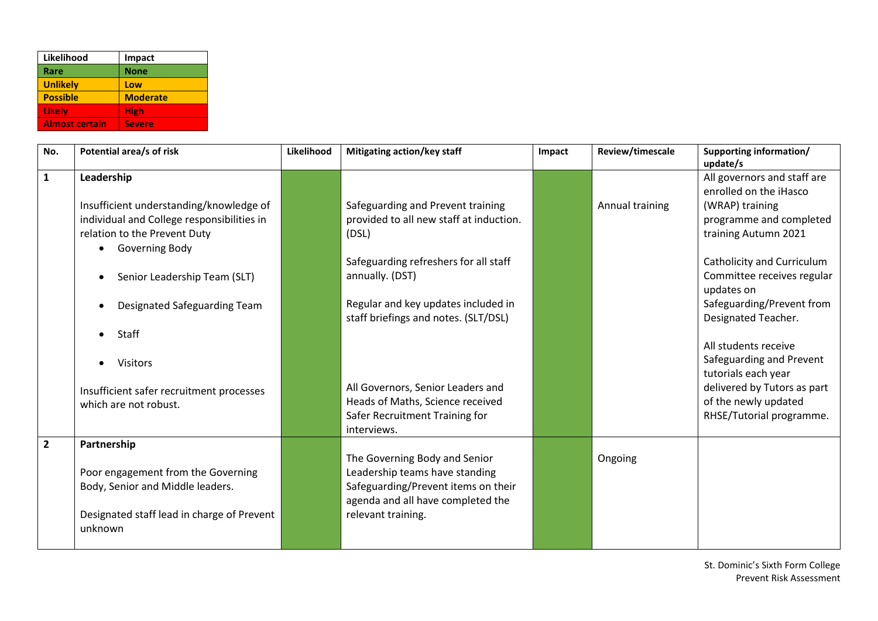| Likelihood            | Impact          |
|-----------------------|-----------------|
| Rare                  | <b>None</b>     |
| <b>Unlikely</b>       | Low             |
| <b>Possible</b>       | <b>Moderate</b> |
| Likely                | <b>High</b>     |
| <b>Almost certain</b> | <b>Severe</b>   |

| No.            | Potential area/s of risk                                                                                                                                                                                                                                                                                                      | Likelihood | Mitigating action/key staff                                                                                                                                                                                                                                                                                                                 | Impact | Review/timescale | Supporting information/<br>update/s                                                                                                                                                                                                                                                                                                                                                                                     |
|----------------|-------------------------------------------------------------------------------------------------------------------------------------------------------------------------------------------------------------------------------------------------------------------------------------------------------------------------------|------------|---------------------------------------------------------------------------------------------------------------------------------------------------------------------------------------------------------------------------------------------------------------------------------------------------------------------------------------------|--------|------------------|-------------------------------------------------------------------------------------------------------------------------------------------------------------------------------------------------------------------------------------------------------------------------------------------------------------------------------------------------------------------------------------------------------------------------|
| $\mathbf{1}$   | Leadership<br>Insufficient understanding/knowledge of<br>individual and College responsibilities in<br>relation to the Prevent Duty<br><b>Governing Body</b><br>Senior Leadership Team (SLT)<br>Designated Safeguarding Team<br>Staff<br><b>Visitors</b><br>Insufficient safer recruitment processes<br>which are not robust. |            | Safeguarding and Prevent training<br>provided to all new staff at induction.<br>(DSL)<br>Safeguarding refreshers for all staff<br>annually. (DST)<br>Regular and key updates included in<br>staff briefings and notes. (SLT/DSL)<br>All Governors, Senior Leaders and<br>Heads of Maths, Science received<br>Safer Recruitment Training for |        | Annual training  | All governors and staff are<br>enrolled on the iHasco<br>(WRAP) training<br>programme and completed<br>training Autumn 2021<br>Catholicity and Curriculum<br>Committee receives regular<br>updates on<br>Safeguarding/Prevent from<br>Designated Teacher.<br>All students receive<br>Safeguarding and Prevent<br>tutorials each year<br>delivered by Tutors as part<br>of the newly updated<br>RHSE/Tutorial programme. |
| $\overline{2}$ | Partnership<br>Poor engagement from the Governing<br>Body, Senior and Middle leaders.<br>Designated staff lead in charge of Prevent<br>unknown                                                                                                                                                                                |            | interviews.<br>The Governing Body and Senior<br>Leadership teams have standing<br>Safeguarding/Prevent items on their<br>agenda and all have completed the<br>relevant training.                                                                                                                                                            |        | Ongoing          |                                                                                                                                                                                                                                                                                                                                                                                                                         |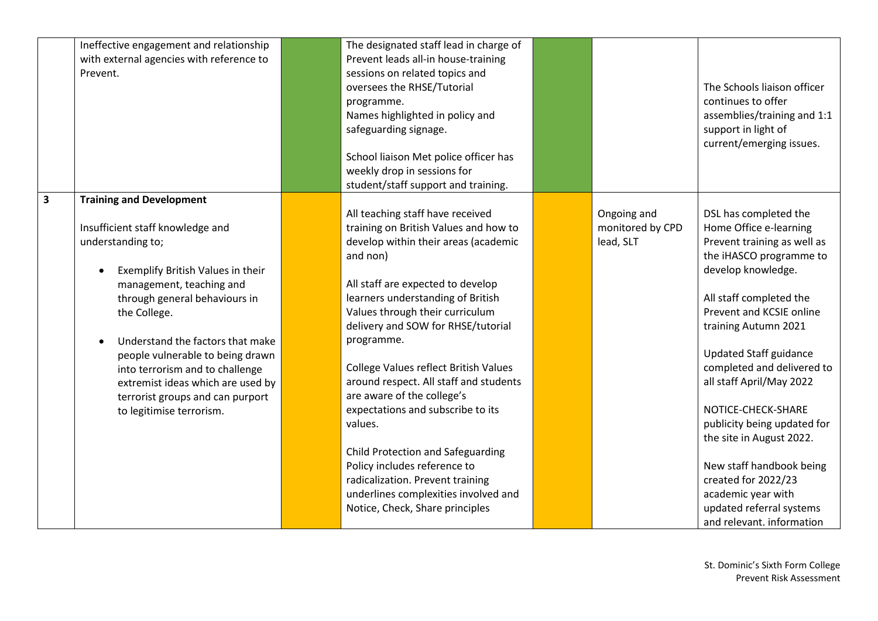|                         | Ineffective engagement and relationship<br>with external agencies with reference to<br>Prevent.                                                                                                                                                                                                                                                                                                                            | The designated staff lead in charge of<br>Prevent leads all-in house-training<br>sessions on related topics and<br>oversees the RHSE/Tutorial<br>programme.<br>Names highlighted in policy and<br>safeguarding signage.<br>School liaison Met police officer has<br>weekly drop in sessions for<br>student/staff support and training.                                                                                                                                                                                                                                                                                                              |                                              | The Schools liaison officer<br>continues to offer<br>assemblies/training and 1:1<br>support in light of<br>current/emerging issues.                                                                                                                                                                                                                                                                                                                                                                                          |
|-------------------------|----------------------------------------------------------------------------------------------------------------------------------------------------------------------------------------------------------------------------------------------------------------------------------------------------------------------------------------------------------------------------------------------------------------------------|-----------------------------------------------------------------------------------------------------------------------------------------------------------------------------------------------------------------------------------------------------------------------------------------------------------------------------------------------------------------------------------------------------------------------------------------------------------------------------------------------------------------------------------------------------------------------------------------------------------------------------------------------------|----------------------------------------------|------------------------------------------------------------------------------------------------------------------------------------------------------------------------------------------------------------------------------------------------------------------------------------------------------------------------------------------------------------------------------------------------------------------------------------------------------------------------------------------------------------------------------|
| $\overline{\mathbf{3}}$ | <b>Training and Development</b><br>Insufficient staff knowledge and<br>understanding to;<br>Exemplify British Values in their<br>management, teaching and<br>through general behaviours in<br>the College.<br>Understand the factors that make<br>people vulnerable to being drawn<br>into terrorism and to challenge<br>extremist ideas which are used by<br>terrorist groups and can purport<br>to legitimise terrorism. | All teaching staff have received<br>training on British Values and how to<br>develop within their areas (academic<br>and non)<br>All staff are expected to develop<br>learners understanding of British<br>Values through their curriculum<br>delivery and SOW for RHSE/tutorial<br>programme.<br>College Values reflect British Values<br>around respect. All staff and students<br>are aware of the college's<br>expectations and subscribe to its<br>values.<br>Child Protection and Safeguarding<br>Policy includes reference to<br>radicalization. Prevent training<br>underlines complexities involved and<br>Notice, Check, Share principles | Ongoing and<br>monitored by CPD<br>lead, SLT | DSL has completed the<br>Home Office e-learning<br>Prevent training as well as<br>the iHASCO programme to<br>develop knowledge.<br>All staff completed the<br>Prevent and KCSIE online<br>training Autumn 2021<br><b>Updated Staff guidance</b><br>completed and delivered to<br>all staff April/May 2022<br>NOTICE-CHECK-SHARE<br>publicity being updated for<br>the site in August 2022.<br>New staff handbook being<br>created for 2022/23<br>academic year with<br>updated referral systems<br>and relevant. information |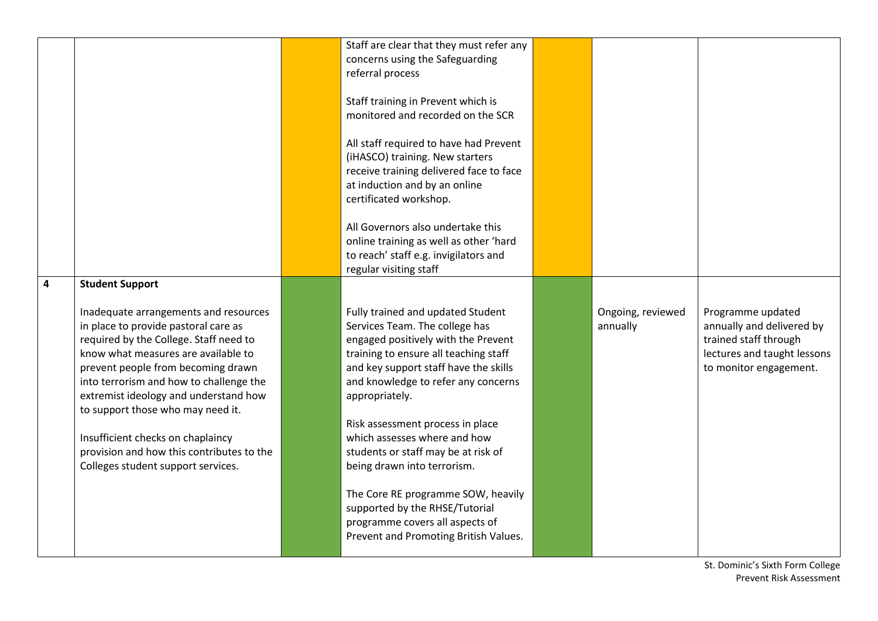|                         |                                                                                                                                                                                                                                                                                                                                                                                                                                                                                 | Staff are clear that they must refer any<br>concerns using the Safeguarding<br>referral process<br>Staff training in Prevent which is<br>monitored and recorded on the SCR<br>All staff required to have had Prevent<br>(iHASCO) training. New starters<br>receive training delivered face to face<br>at induction and by an online<br>certificated workshop.<br>All Governors also undertake this<br>online training as well as other 'hard<br>to reach' staff e.g. invigilators and<br>regular visiting staff                                     |                               |                                                                                                                                  |
|-------------------------|---------------------------------------------------------------------------------------------------------------------------------------------------------------------------------------------------------------------------------------------------------------------------------------------------------------------------------------------------------------------------------------------------------------------------------------------------------------------------------|-----------------------------------------------------------------------------------------------------------------------------------------------------------------------------------------------------------------------------------------------------------------------------------------------------------------------------------------------------------------------------------------------------------------------------------------------------------------------------------------------------------------------------------------------------|-------------------------------|----------------------------------------------------------------------------------------------------------------------------------|
| $\overline{\mathbf{4}}$ | <b>Student Support</b><br>Inadequate arrangements and resources<br>in place to provide pastoral care as<br>required by the College. Staff need to<br>know what measures are available to<br>prevent people from becoming drawn<br>into terrorism and how to challenge the<br>extremist ideology and understand how<br>to support those who may need it.<br>Insufficient checks on chaplaincy<br>provision and how this contributes to the<br>Colleges student support services. | Fully trained and updated Student<br>Services Team. The college has<br>engaged positively with the Prevent<br>training to ensure all teaching staff<br>and key support staff have the skills<br>and knowledge to refer any concerns<br>appropriately.<br>Risk assessment process in place<br>which assesses where and how<br>students or staff may be at risk of<br>being drawn into terrorism.<br>The Core RE programme SOW, heavily<br>supported by the RHSE/Tutorial<br>programme covers all aspects of<br>Prevent and Promoting British Values. | Ongoing, reviewed<br>annually | Programme updated<br>annually and delivered by<br>trained staff through<br>lectures and taught lessons<br>to monitor engagement. |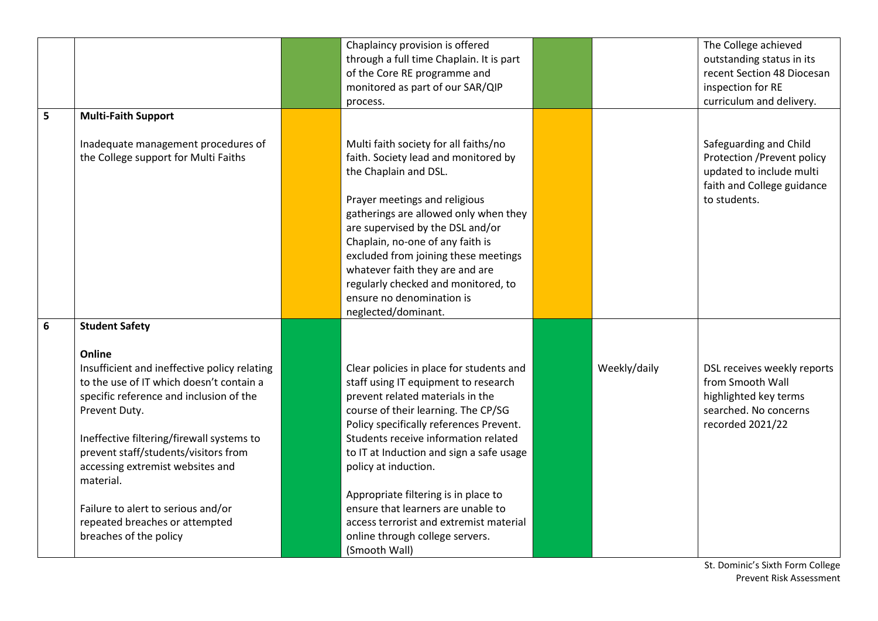| 5 | <b>Multi-Faith Support</b>                                                                                                                                                                                                                                                                                                                                                                                                      | Chaplaincy provision is offered<br>through a full time Chaplain. It is part<br>of the Core RE programme and<br>monitored as part of our SAR/QIP<br>process.                                                                                                                                                                                                                                                                                                                                     |              | The College achieved<br>outstanding status in its<br>recent Section 48 Diocesan<br>inspection for RE<br>curriculum and delivery. |
|---|---------------------------------------------------------------------------------------------------------------------------------------------------------------------------------------------------------------------------------------------------------------------------------------------------------------------------------------------------------------------------------------------------------------------------------|-------------------------------------------------------------------------------------------------------------------------------------------------------------------------------------------------------------------------------------------------------------------------------------------------------------------------------------------------------------------------------------------------------------------------------------------------------------------------------------------------|--------------|----------------------------------------------------------------------------------------------------------------------------------|
|   | Inadequate management procedures of<br>the College support for Multi Faiths                                                                                                                                                                                                                                                                                                                                                     | Multi faith society for all faiths/no<br>faith. Society lead and monitored by<br>the Chaplain and DSL.<br>Prayer meetings and religious<br>gatherings are allowed only when they<br>are supervised by the DSL and/or<br>Chaplain, no-one of any faith is<br>excluded from joining these meetings<br>whatever faith they are and are<br>regularly checked and monitored, to<br>ensure no denomination is<br>neglected/dominant.                                                                  |              | Safeguarding and Child<br>Protection / Prevent policy<br>updated to include multi<br>faith and College guidance<br>to students.  |
| 6 | <b>Student Safety</b><br>Online<br>Insufficient and ineffective policy relating<br>to the use of IT which doesn't contain a<br>specific reference and inclusion of the<br>Prevent Duty.<br>Ineffective filtering/firewall systems to<br>prevent staff/students/visitors from<br>accessing extremist websites and<br>material.<br>Failure to alert to serious and/or<br>repeated breaches or attempted<br>breaches of the policy | Clear policies in place for students and<br>staff using IT equipment to research<br>prevent related materials in the<br>course of their learning. The CP/SG<br>Policy specifically references Prevent.<br>Students receive information related<br>to IT at Induction and sign a safe usage<br>policy at induction.<br>Appropriate filtering is in place to<br>ensure that learners are unable to<br>access terrorist and extremist material<br>online through college servers.<br>(Smooth Wall) | Weekly/daily | DSL receives weekly reports<br>from Smooth Wall<br>highlighted key terms<br>searched. No concerns<br>recorded 2021/22            |

St. Dominic's Sixth Form College Prevent Risk Assessment